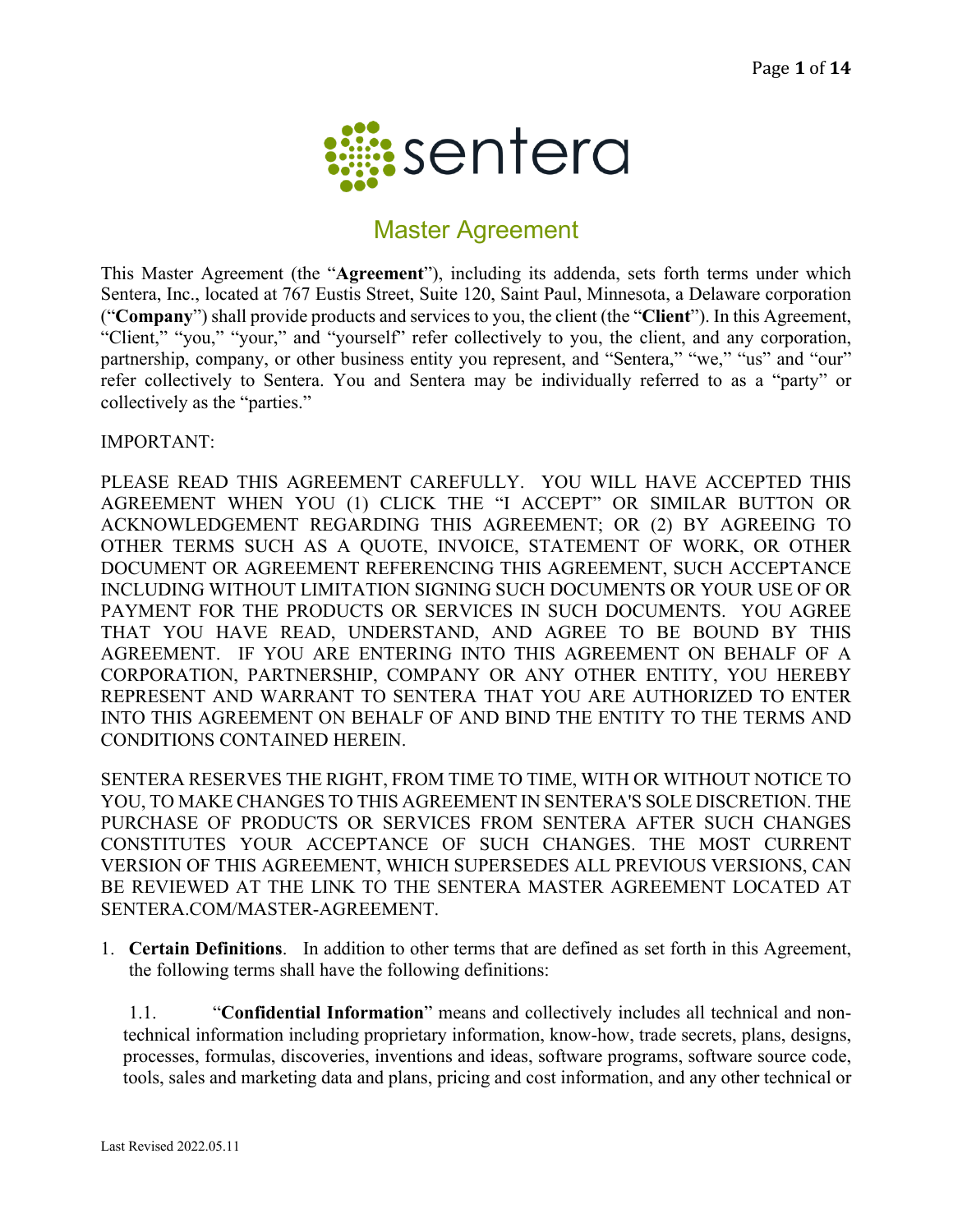

# Master Agreement

This Master Agreement (the "**Agreement**"), including its addenda, sets forth terms under which Sentera, Inc., located at 767 Eustis Street, Suite 120, Saint Paul, Minnesota, a Delaware corporation ("**Company**") shall provide products and services to you, the client (the "**Client**"). In this Agreement, "Client," "you," "your," and "yourself" refer collectively to you, the client, and any corporation, partnership, company, or other business entity you represent, and "Sentera," "we," "us" and "our" refer collectively to Sentera. You and Sentera may be individually referred to as a "party" or collectively as the "parties."

IMPORTANT:

PLEASE READ THIS AGREEMENT CAREFULLY. YOU WILL HAVE ACCEPTED THIS AGREEMENT WHEN YOU (1) CLICK THE "I ACCEPT" OR SIMILAR BUTTON OR ACKNOWLEDGEMENT REGARDING THIS AGREEMENT; OR (2) BY AGREEING TO OTHER TERMS SUCH AS A QUOTE, INVOICE, STATEMENT OF WORK, OR OTHER DOCUMENT OR AGREEMENT REFERENCING THIS AGREEMENT, SUCH ACCEPTANCE INCLUDING WITHOUT LIMITATION SIGNING SUCH DOCUMENTS OR YOUR USE OF OR PAYMENT FOR THE PRODUCTS OR SERVICES IN SUCH DOCUMENTS. YOU AGREE THAT YOU HAVE READ, UNDERSTAND, AND AGREE TO BE BOUND BY THIS AGREEMENT. IF YOU ARE ENTERING INTO THIS AGREEMENT ON BEHALF OF A CORPORATION, PARTNERSHIP, COMPANY OR ANY OTHER ENTITY, YOU HEREBY REPRESENT AND WARRANT TO SENTERA THAT YOU ARE AUTHORIZED TO ENTER INTO THIS AGREEMENT ON BEHALF OF AND BIND THE ENTITY TO THE TERMS AND CONDITIONS CONTAINED HEREIN.

SENTERA RESERVES THE RIGHT, FROM TIME TO TIME, WITH OR WITHOUT NOTICE TO YOU, TO MAKE CHANGES TO THIS AGREEMENT IN SENTERA'S SOLE DISCRETION. THE PURCHASE OF PRODUCTS OR SERVICES FROM SENTERA AFTER SUCH CHANGES CONSTITUTES YOUR ACCEPTANCE OF SUCH CHANGES. THE MOST CURRENT VERSION OF THIS AGREEMENT, WHICH SUPERSEDES ALL PREVIOUS VERSIONS, CAN BE REVIEWED AT THE LINK TO THE SENTERA MASTER AGREEMENT LOCATED AT SENTERA.COM/MASTER-AGREEMENT.

1. **Certain Definitions**.In addition to other terms that are defined as set forth in this Agreement, the following terms shall have the following definitions:

1.1. "**Confidential Information**" means and collectively includes all technical and nontechnical information including proprietary information, know-how, trade secrets, plans, designs, processes, formulas, discoveries, inventions and ideas, software programs, software source code, tools, sales and marketing data and plans, pricing and cost information, and any other technical or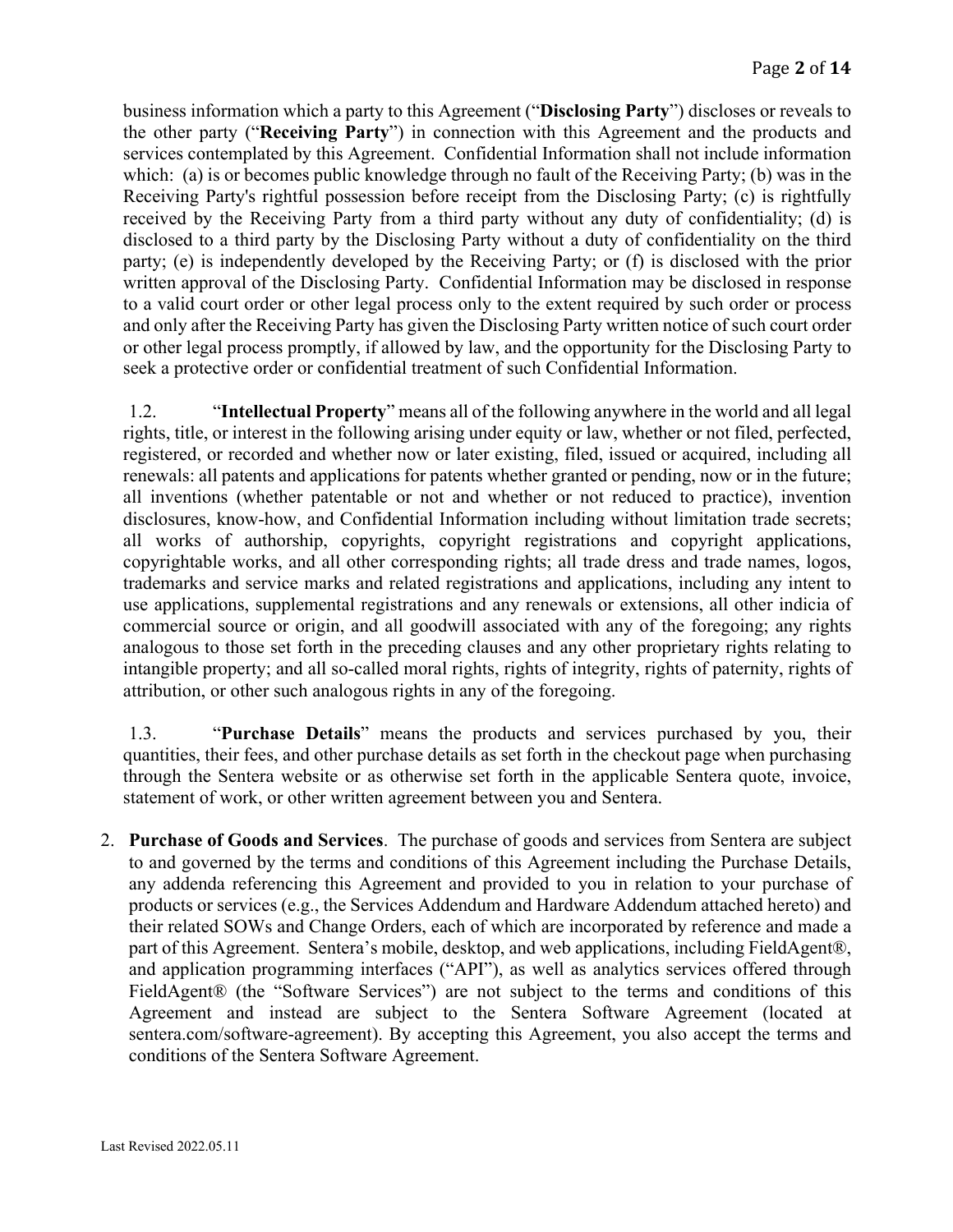business information which a party to this Agreement ("**Disclosing Party**") discloses or reveals to the other party ("**Receiving Party**") in connection with this Agreement and the products and services contemplated by this Agreement. Confidential Information shall not include information which: (a) is or becomes public knowledge through no fault of the Receiving Party; (b) was in the Receiving Party's rightful possession before receipt from the Disclosing Party; (c) is rightfully received by the Receiving Party from a third party without any duty of confidentiality; (d) is disclosed to a third party by the Disclosing Party without a duty of confidentiality on the third party; (e) is independently developed by the Receiving Party; or (f) is disclosed with the prior written approval of the Disclosing Party. Confidential Information may be disclosed in response to a valid court order or other legal process only to the extent required by such order or process and only after the Receiving Party has given the Disclosing Party written notice of such court order or other legal process promptly, if allowed by law, and the opportunity for the Disclosing Party to seek a protective order or confidential treatment of such Confidential Information.

1.2. "**Intellectual Property**" means all of the following anywhere in the world and all legal rights, title, or interest in the following arising under equity or law, whether or not filed, perfected, registered, or recorded and whether now or later existing, filed, issued or acquired, including all renewals: all patents and applications for patents whether granted or pending, now or in the future; all inventions (whether patentable or not and whether or not reduced to practice), invention disclosures, know-how, and Confidential Information including without limitation trade secrets; all works of authorship, copyrights, copyright registrations and copyright applications, copyrightable works, and all other corresponding rights; all trade dress and trade names, logos, trademarks and service marks and related registrations and applications, including any intent to use applications, supplemental registrations and any renewals or extensions, all other indicia of commercial source or origin, and all goodwill associated with any of the foregoing; any rights analogous to those set forth in the preceding clauses and any other proprietary rights relating to intangible property; and all so-called moral rights, rights of integrity, rights of paternity, rights of attribution, or other such analogous rights in any of the foregoing.

1.3. "**Purchase Details**" means the products and services purchased by you, their quantities, their fees, and other purchase details as set forth in the checkout page when purchasing through the Sentera website or as otherwise set forth in the applicable Sentera quote, invoice, statement of work, or other written agreement between you and Sentera.

2. **Purchase of Goods and Services**. The purchase of goods and services from Sentera are subject to and governed by the terms and conditions of this Agreement including the Purchase Details, any addenda referencing this Agreement and provided to you in relation to your purchase of products or services (e.g., the Services Addendum and Hardware Addendum attached hereto) and their related SOWs and Change Orders, each of which are incorporated by reference and made a part of this Agreement. Sentera's mobile, desktop, and web applications, including FieldAgent®, and application programming interfaces ("API"), as well as analytics services offered through FieldAgent® (the "Software Services") are not subject to the terms and conditions of this Agreement and instead are subject to the Sentera Software Agreement (located at sentera.com/software-agreement). By accepting this Agreement, you also accept the terms and conditions of the Sentera Software Agreement.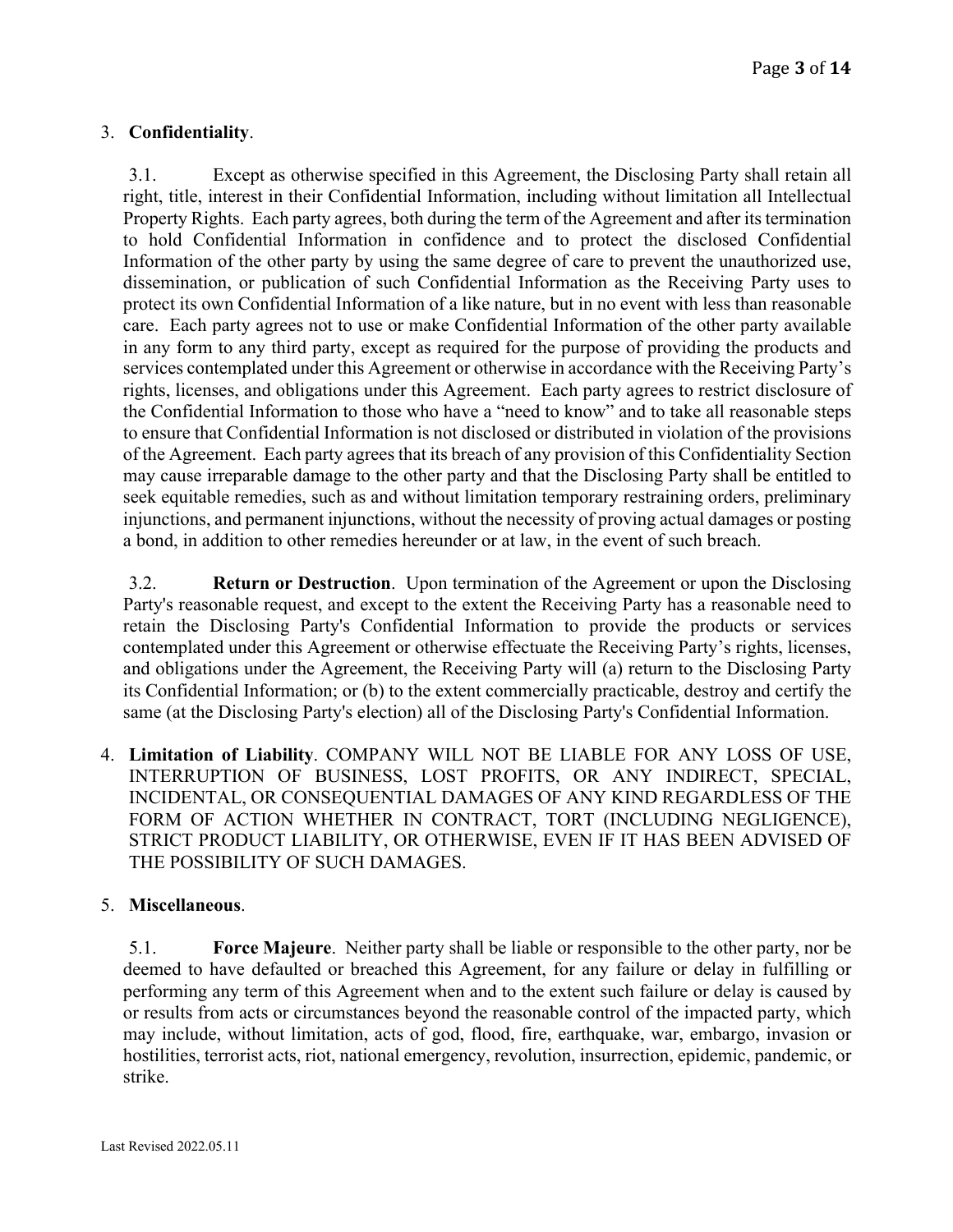# 3. **Confidentiality**.

3.1. Except as otherwise specified in this Agreement, the Disclosing Party shall retain all right, title, interest in their Confidential Information, including without limitation all Intellectual Property Rights. Each party agrees, both during the term of the Agreement and after its termination to hold Confidential Information in confidence and to protect the disclosed Confidential Information of the other party by using the same degree of care to prevent the unauthorized use, dissemination, or publication of such Confidential Information as the Receiving Party uses to protect its own Confidential Information of a like nature, but in no event with less than reasonable care. Each party agrees not to use or make Confidential Information of the other party available in any form to any third party, except as required for the purpose of providing the products and services contemplated under this Agreement or otherwise in accordance with the Receiving Party's rights, licenses, and obligations under this Agreement. Each party agrees to restrict disclosure of the Confidential Information to those who have a "need to know" and to take all reasonable steps to ensure that Confidential Information is not disclosed or distributed in violation of the provisions of the Agreement. Each party agrees that its breach of any provision of this Confidentiality Section may cause irreparable damage to the other party and that the Disclosing Party shall be entitled to seek equitable remedies, such as and without limitation temporary restraining orders, preliminary injunctions, and permanent injunctions, without the necessity of proving actual damages or posting a bond, in addition to other remedies hereunder or at law, in the event of such breach.

3.2. **Return or Destruction**. Upon termination of the Agreement or upon the Disclosing Party's reasonable request, and except to the extent the Receiving Party has a reasonable need to retain the Disclosing Party's Confidential Information to provide the products or services contemplated under this Agreement or otherwise effectuate the Receiving Party's rights, licenses, and obligations under the Agreement, the Receiving Party will (a) return to the Disclosing Party its Confidential Information; or (b) to the extent commercially practicable, destroy and certify the same (at the Disclosing Party's election) all of the Disclosing Party's Confidential Information.

4. **Limitation of Liability**. COMPANY WILL NOT BE LIABLE FOR ANY LOSS OF USE, INTERRUPTION OF BUSINESS, LOST PROFITS, OR ANY INDIRECT, SPECIAL, INCIDENTAL, OR CONSEQUENTIAL DAMAGES OF ANY KIND REGARDLESS OF THE FORM OF ACTION WHETHER IN CONTRACT, TORT (INCLUDING NEGLIGENCE), STRICT PRODUCT LIABILITY, OR OTHERWISE, EVEN IF IT HAS BEEN ADVISED OF THE POSSIBILITY OF SUCH DAMAGES.

# 5. **Miscellaneous**.

5.1. **Force Majeure**. Neither party shall be liable or responsible to the other party, nor be deemed to have defaulted or breached this Agreement, for any failure or delay in fulfilling or performing any term of this Agreement when and to the extent such failure or delay is caused by or results from acts or circumstances beyond the reasonable control of the impacted party, which may include, without limitation, acts of god, flood, fire, earthquake, war, embargo, invasion or hostilities, terrorist acts, riot, national emergency, revolution, insurrection, epidemic, pandemic, or strike.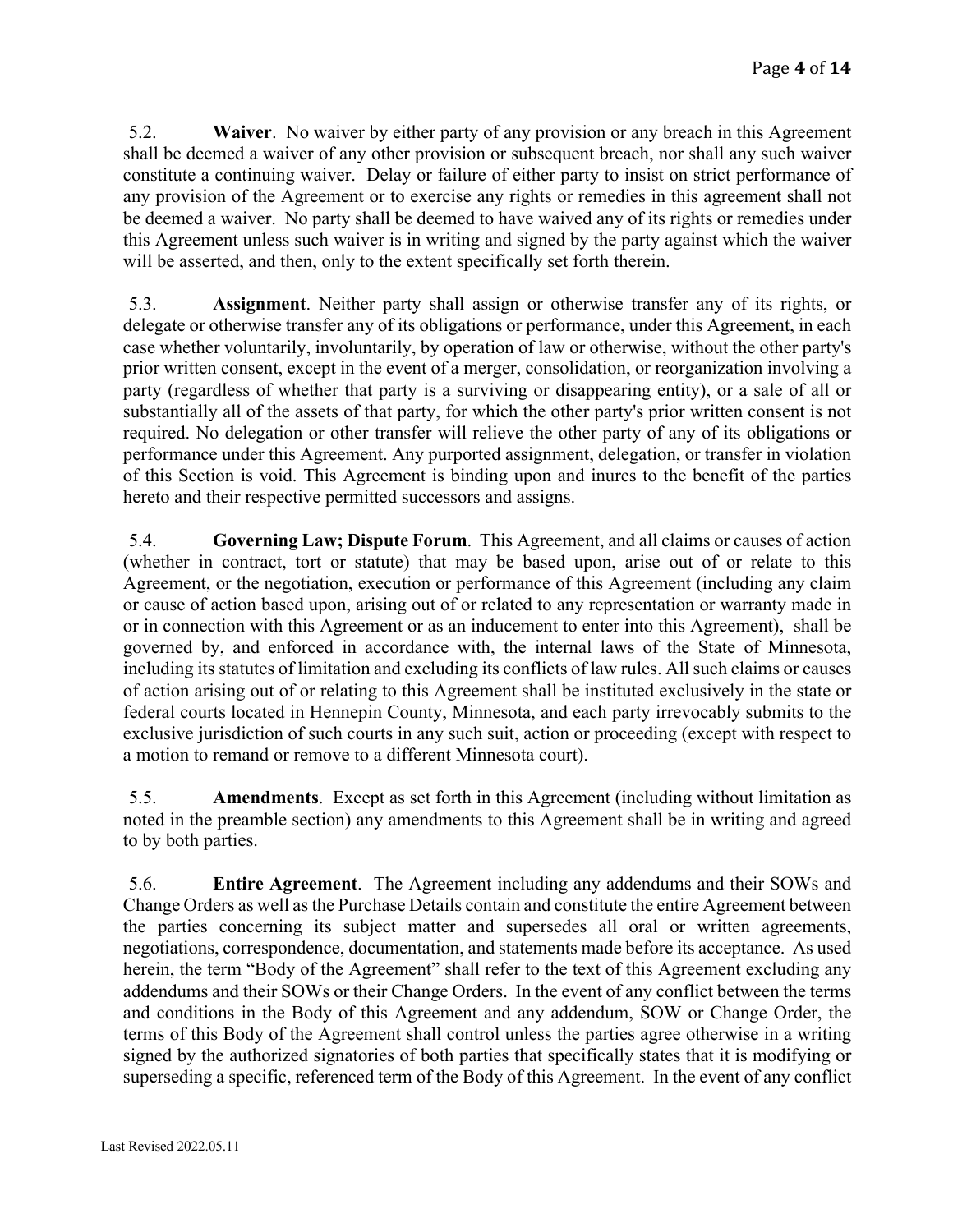5.2. **Waiver**. No waiver by either party of any provision or any breach in this Agreement shall be deemed a waiver of any other provision or subsequent breach, nor shall any such waiver constitute a continuing waiver. Delay or failure of either party to insist on strict performance of any provision of the Agreement or to exercise any rights or remedies in this agreement shall not be deemed a waiver. No party shall be deemed to have waived any of its rights or remedies under this Agreement unless such waiver is in writing and signed by the party against which the waiver will be asserted, and then, only to the extent specifically set forth therein.

5.3. **Assignment**. Neither party shall assign or otherwise transfer any of its rights, or delegate or otherwise transfer any of its obligations or performance, under this Agreement, in each case whether voluntarily, involuntarily, by operation of law or otherwise, without the other party's prior written consent, except in the event of a merger, consolidation, or reorganization involving a party (regardless of whether that party is a surviving or disappearing entity), or a sale of all or substantially all of the assets of that party, for which the other party's prior written consent is not required. No delegation or other transfer will relieve the other party of any of its obligations or performance under this Agreement. Any purported assignment, delegation, or transfer in violation of this Section is void. This Agreement is binding upon and inures to the benefit of the parties hereto and their respective permitted successors and assigns.

5.4. **Governing Law; Dispute Forum**. This Agreement, and all claims or causes of action (whether in contract, tort or statute) that may be based upon, arise out of or relate to this Agreement, or the negotiation, execution or performance of this Agreement (including any claim or cause of action based upon, arising out of or related to any representation or warranty made in or in connection with this Agreement or as an inducement to enter into this Agreement), shall be governed by, and enforced in accordance with, the internal laws of the State of Minnesota, including its statutes of limitation and excluding its conflicts of law rules. All such claims or causes of action arising out of or relating to this Agreement shall be instituted exclusively in the state or federal courts located in Hennepin County, Minnesota, and each party irrevocably submits to the exclusive jurisdiction of such courts in any such suit, action or proceeding (except with respect to a motion to remand or remove to a different Minnesota court).

5.5. **Amendments**. Except as set forth in this Agreement (including without limitation as noted in the preamble section) any amendments to this Agreement shall be in writing and agreed to by both parties.

5.6. **Entire Agreement**. The Agreement including any addendums and their SOWs and Change Orders as well asthe Purchase Details contain and constitute the entire Agreement between the parties concerning its subject matter and supersedes all oral or written agreements, negotiations, correspondence, documentation, and statements made before its acceptance. As used herein, the term "Body of the Agreement" shall refer to the text of this Agreement excluding any addendums and their SOWs or their Change Orders. In the event of any conflict between the terms and conditions in the Body of this Agreement and any addendum, SOW or Change Order, the terms of this Body of the Agreement shall control unless the parties agree otherwise in a writing signed by the authorized signatories of both parties that specifically states that it is modifying or superseding a specific, referenced term of the Body of this Agreement. In the event of any conflict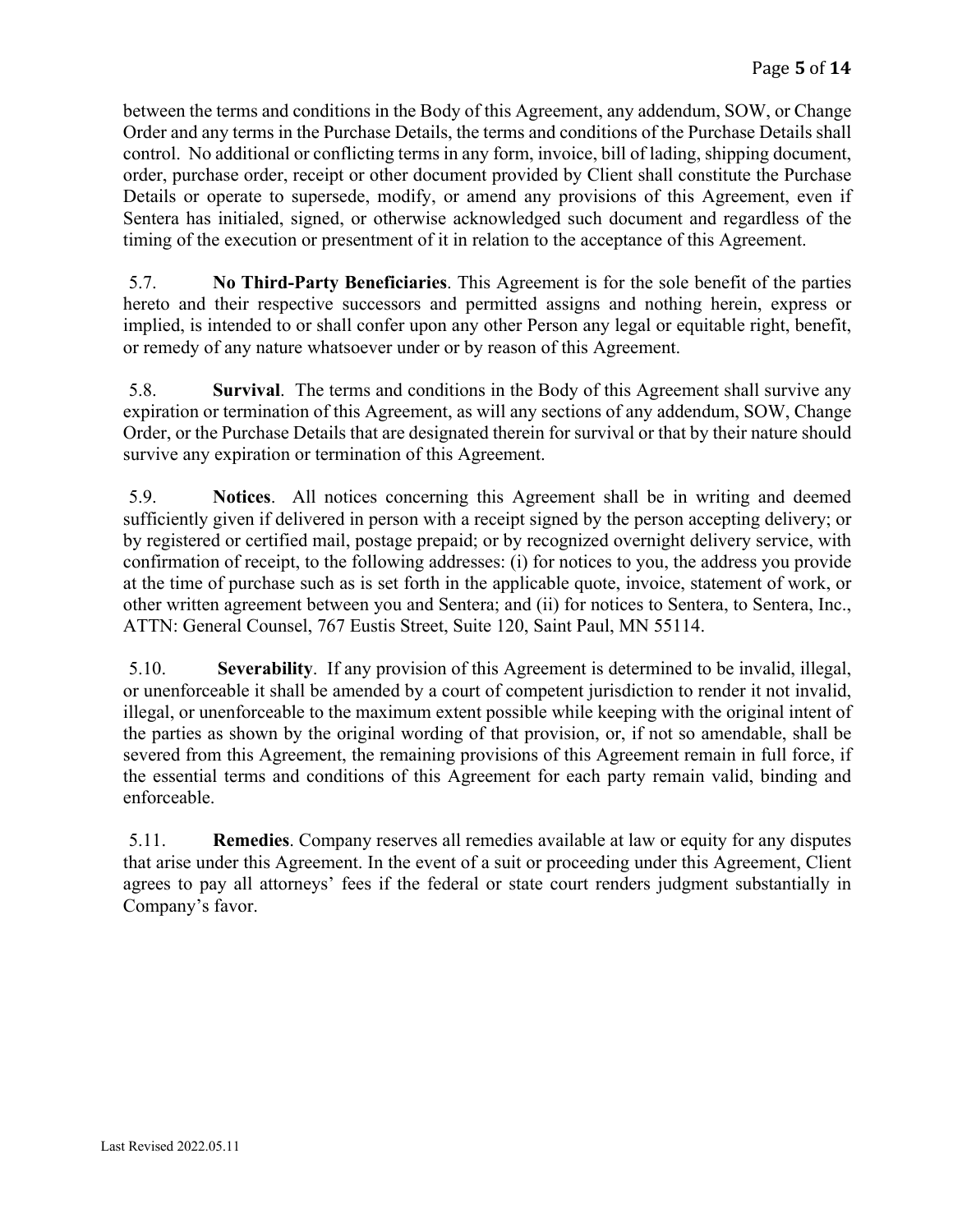between the terms and conditions in the Body of this Agreement, any addendum, SOW, or Change Order and any terms in the Purchase Details, the terms and conditions of the Purchase Details shall control. No additional or conflicting terms in any form, invoice, bill of lading, shipping document, order, purchase order, receipt or other document provided by Client shall constitute the Purchase Details or operate to supersede, modify, or amend any provisions of this Agreement, even if Sentera has initialed, signed, or otherwise acknowledged such document and regardless of the timing of the execution or presentment of it in relation to the acceptance of this Agreement.

5.7. **No Third-Party Beneficiaries**. This Agreement is for the sole benefit of the parties hereto and their respective successors and permitted assigns and nothing herein, express or implied, is intended to or shall confer upon any other Person any legal or equitable right, benefit, or remedy of any nature whatsoever under or by reason of this Agreement.

5.8. **Survival**. The terms and conditions in the Body of this Agreement shall survive any expiration or termination of this Agreement, as will any sections of any addendum, SOW, Change Order, or the Purchase Details that are designated therein for survival or that by their nature should survive any expiration or termination of this Agreement.

5.9. **Notices**. All notices concerning this Agreement shall be in writing and deemed sufficiently given if delivered in person with a receipt signed by the person accepting delivery; or by registered or certified mail, postage prepaid; or by recognized overnight delivery service, with confirmation of receipt, to the following addresses: (i) for notices to you, the address you provide at the time of purchase such as is set forth in the applicable quote, invoice, statement of work, or other written agreement between you and Sentera; and (ii) for notices to Sentera, to Sentera, Inc., ATTN: General Counsel, 767 Eustis Street, Suite 120, Saint Paul, MN 55114.

5.10. **Severability**. If any provision of this Agreement is determined to be invalid, illegal, or unenforceable it shall be amended by a court of competent jurisdiction to render it not invalid, illegal, or unenforceable to the maximum extent possible while keeping with the original intent of the parties as shown by the original wording of that provision, or, if not so amendable, shall be severed from this Agreement, the remaining provisions of this Agreement remain in full force, if the essential terms and conditions of this Agreement for each party remain valid, binding and enforceable.

5.11. **Remedies**. Company reserves all remedies available at law or equity for any disputes that arise under this Agreement. In the event of a suit or proceeding under this Agreement, Client agrees to pay all attorneys' fees if the federal or state court renders judgment substantially in Company's favor.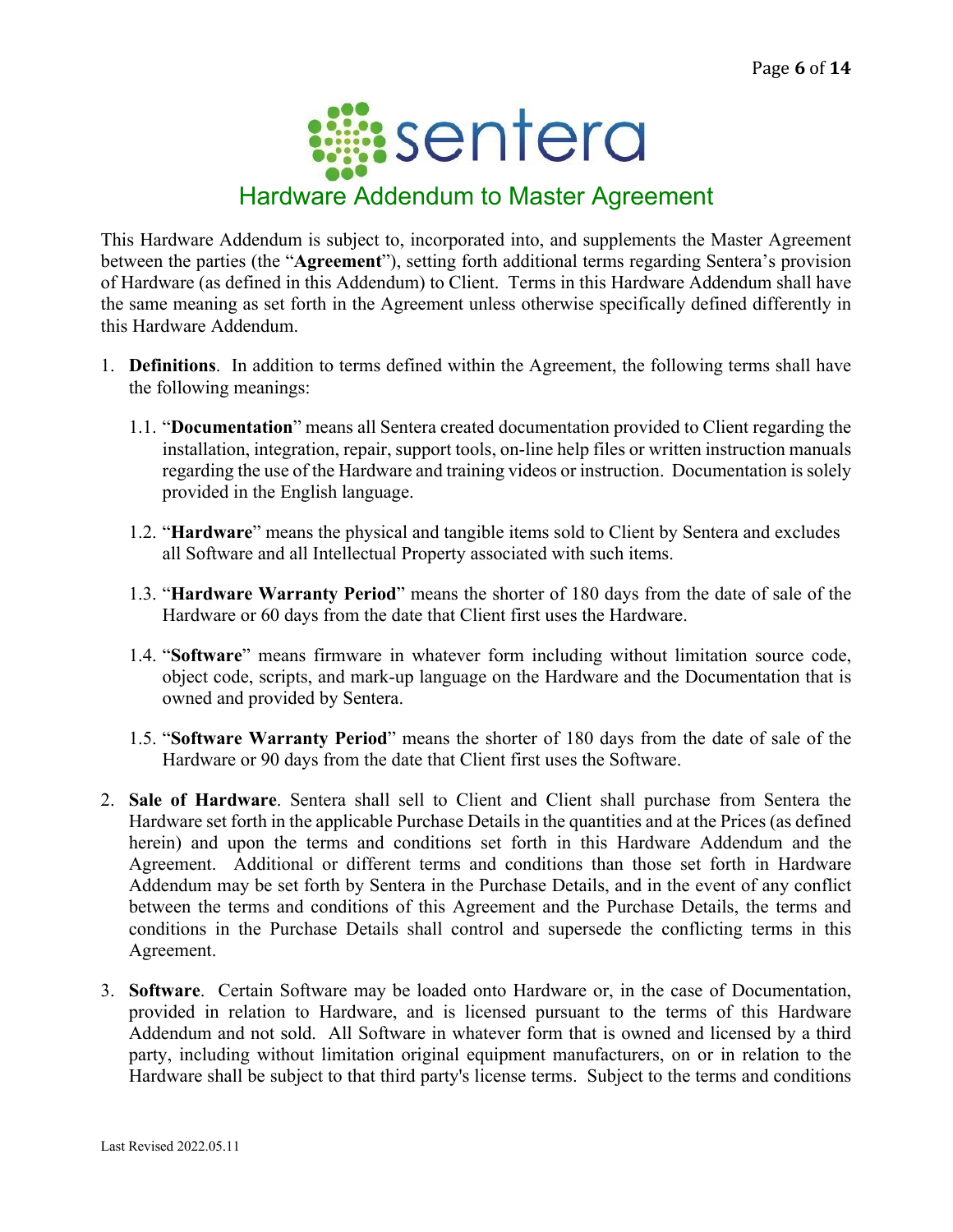

This Hardware Addendum is subject to, incorporated into, and supplements the Master Agreement between the parties (the "**Agreement**"), setting forth additional terms regarding Sentera's provision of Hardware (as defined in this Addendum) to Client. Terms in this Hardware Addendum shall have the same meaning as set forth in the Agreement unless otherwise specifically defined differently in this Hardware Addendum.

- 1. **Definitions**. In addition to terms defined within the Agreement, the following terms shall have the following meanings:
	- 1.1. "**Documentation**" means all Sentera created documentation provided to Client regarding the installation, integration, repair, support tools, on-line help files or written instruction manuals regarding the use of the Hardware and training videos or instruction. Documentation is solely provided in the English language.
	- 1.2. "**Hardware**" means the physical and tangible items sold to Client by Sentera and excludes all Software and all Intellectual Property associated with such items.
	- 1.3. "**Hardware Warranty Period**" means the shorter of 180 days from the date of sale of the Hardware or 60 days from the date that Client first uses the Hardware.
	- 1.4. "**Software**" means firmware in whatever form including without limitation source code, object code, scripts, and mark-up language on the Hardware and the Documentation that is owned and provided by Sentera.
	- 1.5. "**Software Warranty Period**" means the shorter of 180 days from the date of sale of the Hardware or 90 days from the date that Client first uses the Software.
- 2. **Sale of Hardware**. Sentera shall sell to Client and Client shall purchase from Sentera the Hardware set forth in the applicable Purchase Details in the quantities and at the Prices (as defined herein) and upon the terms and conditions set forth in this Hardware Addendum and the Agreement. Additional or different terms and conditions than those set forth in Hardware Addendum may be set forth by Sentera in the Purchase Details, and in the event of any conflict between the terms and conditions of this Agreement and the Purchase Details, the terms and conditions in the Purchase Details shall control and supersede the conflicting terms in this Agreement.
- 3. **Software**. Certain Software may be loaded onto Hardware or, in the case of Documentation, provided in relation to Hardware, and is licensed pursuant to the terms of this Hardware Addendum and not sold. All Software in whatever form that is owned and licensed by a third party, including without limitation original equipment manufacturers, on or in relation to the Hardware shall be subject to that third party's license terms. Subject to the terms and conditions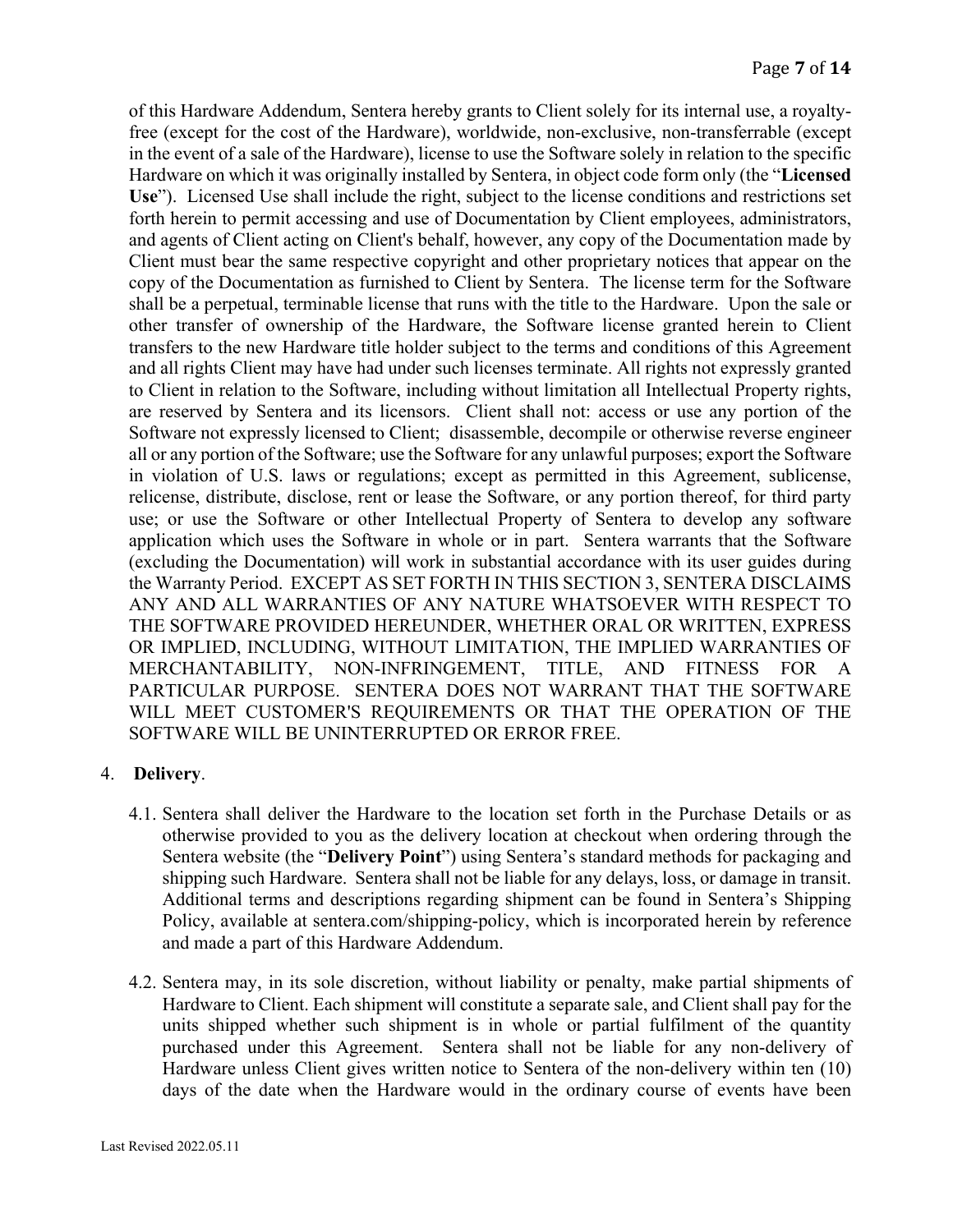of this Hardware Addendum, Sentera hereby grants to Client solely for its internal use, a royaltyfree (except for the cost of the Hardware), worldwide, non-exclusive, non-transferrable (except in the event of a sale of the Hardware), license to use the Software solely in relation to the specific Hardware on which it was originally installed by Sentera, in object code form only (the "**Licensed Use**"). Licensed Use shall include the right, subject to the license conditions and restrictions set forth herein to permit accessing and use of Documentation by Client employees, administrators, and agents of Client acting on Client's behalf, however, any copy of the Documentation made by Client must bear the same respective copyright and other proprietary notices that appear on the copy of the Documentation as furnished to Client by Sentera. The license term for the Software shall be a perpetual, terminable license that runs with the title to the Hardware. Upon the sale or other transfer of ownership of the Hardware, the Software license granted herein to Client transfers to the new Hardware title holder subject to the terms and conditions of this Agreement and all rights Client may have had under such licenses terminate. All rights not expressly granted to Client in relation to the Software, including without limitation all Intellectual Property rights, are reserved by Sentera and its licensors. Client shall not: access or use any portion of the Software not expressly licensed to Client; disassemble, decompile or otherwise reverse engineer all or any portion of the Software; use the Software for any unlawful purposes; export the Software in violation of U.S. laws or regulations; except as permitted in this Agreement, sublicense, relicense, distribute, disclose, rent or lease the Software, or any portion thereof, for third party use; or use the Software or other Intellectual Property of Sentera to develop any software application which uses the Software in whole or in part. Sentera warrants that the Software (excluding the Documentation) will work in substantial accordance with its user guides during the Warranty Period. EXCEPT AS SET FORTH IN THIS SECTION 3, SENTERA DISCLAIMS ANY AND ALL WARRANTIES OF ANY NATURE WHATSOEVER WITH RESPECT TO THE SOFTWARE PROVIDED HEREUNDER, WHETHER ORAL OR WRITTEN, EXPRESS OR IMPLIED, INCLUDING, WITHOUT LIMITATION, THE IMPLIED WARRANTIES OF MERCHANTABILITY, NON-INFRINGEMENT, TITLE, AND FITNESS FOR A PARTICULAR PURPOSE. SENTERA DOES NOT WARRANT THAT THE SOFTWARE WILL MEET CUSTOMER'S REQUIREMENTS OR THAT THE OPERATION OF THE SOFTWARE WILL BE UNINTERRUPTED OR ERROR FREE.

## 4. **Delivery**.

- 4.1. Sentera shall deliver the Hardware to the location set forth in the Purchase Details or as otherwise provided to you as the delivery location at checkout when ordering through the Sentera website (the "**Delivery Point**") using Sentera's standard methods for packaging and shipping such Hardware. Sentera shall not be liable for any delays, loss, or damage in transit. Additional terms and descriptions regarding shipment can be found in Sentera's Shipping Policy, available at sentera.com/shipping-policy, which is incorporated herein by reference and made a part of this Hardware Addendum.
- 4.2. Sentera may, in its sole discretion, without liability or penalty, make partial shipments of Hardware to Client. Each shipment will constitute a separate sale, and Client shall pay for the units shipped whether such shipment is in whole or partial fulfilment of the quantity purchased under this Agreement. Sentera shall not be liable for any non-delivery of Hardware unless Client gives written notice to Sentera of the non-delivery within ten (10) days of the date when the Hardware would in the ordinary course of events have been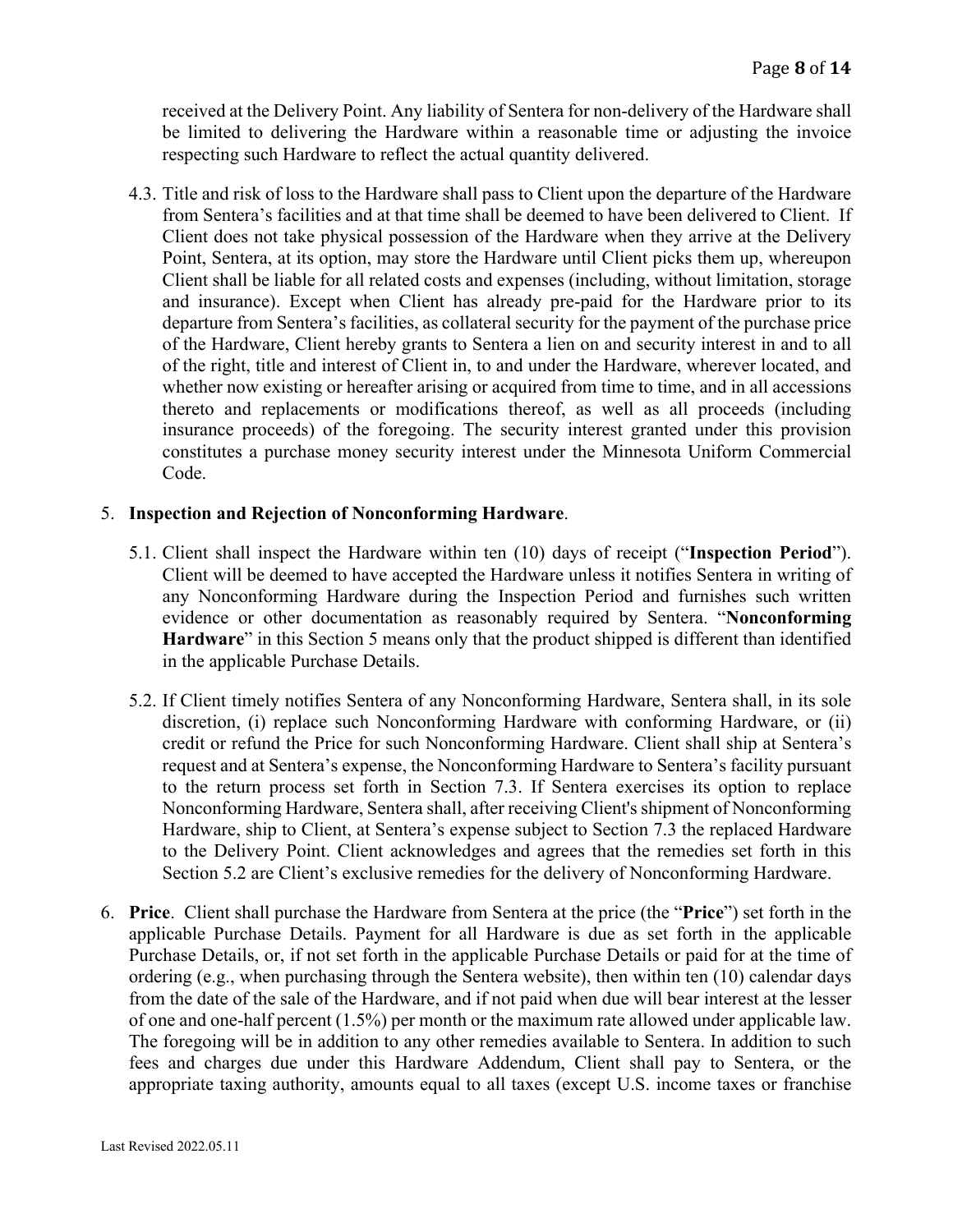received at the Delivery Point. Any liability of Sentera for non-delivery of the Hardware shall be limited to delivering the Hardware within a reasonable time or adjusting the invoice respecting such Hardware to reflect the actual quantity delivered.

4.3. Title and risk of loss to the Hardware shall pass to Client upon the departure of the Hardware from Sentera's facilities and at that time shall be deemed to have been delivered to Client. If Client does not take physical possession of the Hardware when they arrive at the Delivery Point, Sentera, at its option, may store the Hardware until Client picks them up, whereupon Client shall be liable for all related costs and expenses (including, without limitation, storage and insurance). Except when Client has already pre-paid for the Hardware prior to its departure from Sentera's facilities, as collateral security for the payment of the purchase price of the Hardware, Client hereby grants to Sentera a lien on and security interest in and to all of the right, title and interest of Client in, to and under the Hardware, wherever located, and whether now existing or hereafter arising or acquired from time to time, and in all accessions thereto and replacements or modifications thereof, as well as all proceeds (including insurance proceeds) of the foregoing. The security interest granted under this provision constitutes a purchase money security interest under the Minnesota Uniform Commercial Code.

#### 5. **Inspection and Rejection of Nonconforming Hardware**.

- 5.1. Client shall inspect the Hardware within ten (10) days of receipt ("**Inspection Period**"). Client will be deemed to have accepted the Hardware unless it notifies Sentera in writing of any Nonconforming Hardware during the Inspection Period and furnishes such written evidence or other documentation as reasonably required by Sentera. "**Nonconforming Hardware**" in this Section 5 means only that the product shipped is different than identified in the applicable Purchase Details.
- 5.2. If Client timely notifies Sentera of any Nonconforming Hardware, Sentera shall, in its sole discretion, (i) replace such Nonconforming Hardware with conforming Hardware, or (ii) credit or refund the Price for such Nonconforming Hardware. Client shall ship at Sentera's request and at Sentera's expense, the Nonconforming Hardware to Sentera's facility pursuant to the return process set forth in Section 7.3. If Sentera exercises its option to replace Nonconforming Hardware, Sentera shall, after receiving Client's shipment of Nonconforming Hardware, ship to Client, at Sentera's expense subject to Section 7.3 the replaced Hardware to the Delivery Point. Client acknowledges and agrees that the remedies set forth in this Section 5.2 are Client's exclusive remedies for the delivery of Nonconforming Hardware.
- 6. **Price**. Client shall purchase the Hardware from Sentera at the price (the "**Price**") set forth in the applicable Purchase Details. Payment for all Hardware is due as set forth in the applicable Purchase Details, or, if not set forth in the applicable Purchase Details or paid for at the time of ordering (e.g., when purchasing through the Sentera website), then within ten (10) calendar days from the date of the sale of the Hardware, and if not paid when due will bear interest at the lesser of one and one-half percent (1.5%) per month or the maximum rate allowed under applicable law. The foregoing will be in addition to any other remedies available to Sentera. In addition to such fees and charges due under this Hardware Addendum, Client shall pay to Sentera, or the appropriate taxing authority, amounts equal to all taxes (except U.S. income taxes or franchise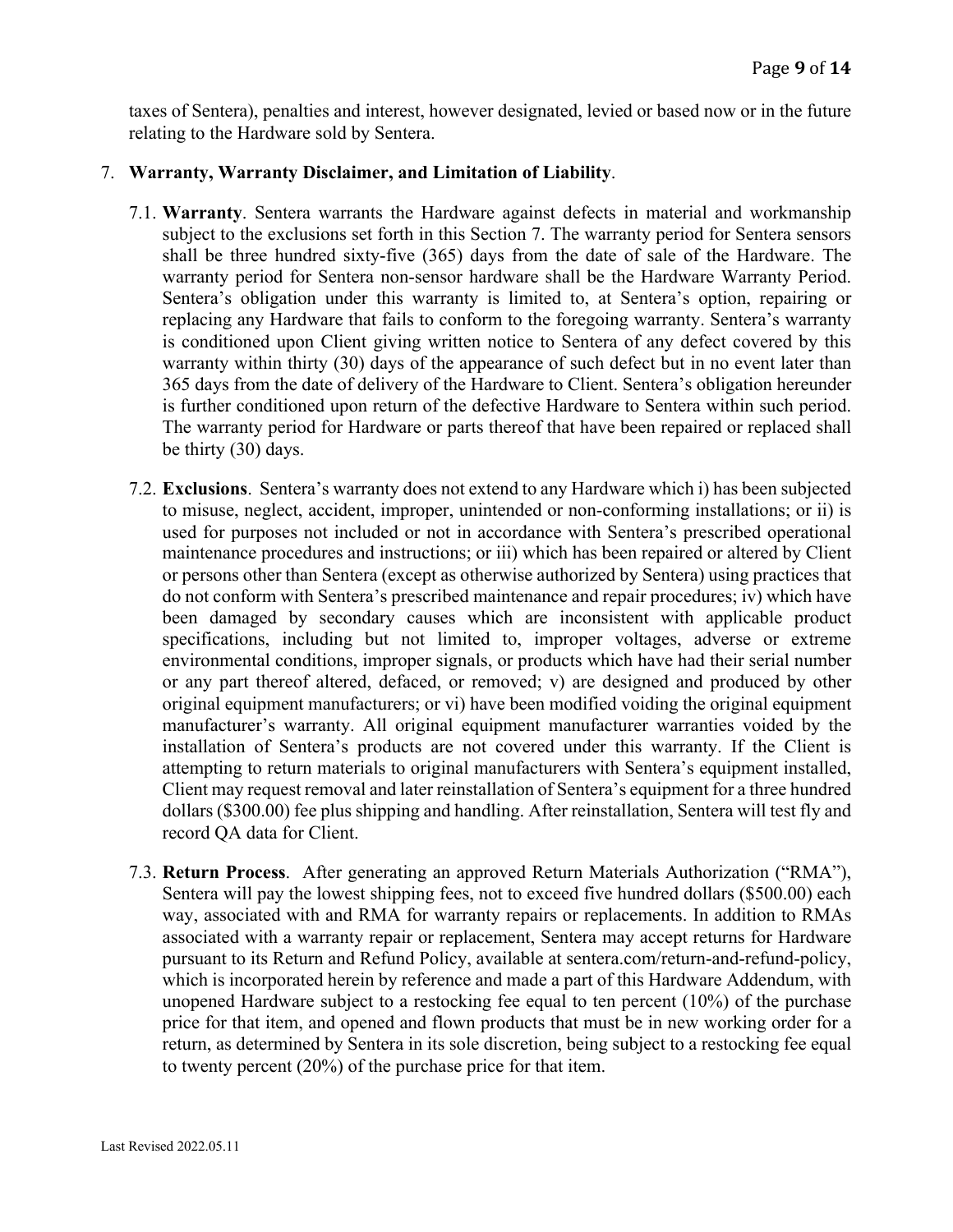taxes of Sentera), penalties and interest, however designated, levied or based now or in the future relating to the Hardware sold by Sentera.

### 7. **Warranty, Warranty Disclaimer, and Limitation of Liability**.

- 7.1. **Warranty**. Sentera warrants the Hardware against defects in material and workmanship subject to the exclusions set forth in this Section 7. The warranty period for Sentera sensors shall be three hundred sixty-five (365) days from the date of sale of the Hardware. The warranty period for Sentera non-sensor hardware shall be the Hardware Warranty Period. Sentera's obligation under this warranty is limited to, at Sentera's option, repairing or replacing any Hardware that fails to conform to the foregoing warranty. Sentera's warranty is conditioned upon Client giving written notice to Sentera of any defect covered by this warranty within thirty (30) days of the appearance of such defect but in no event later than 365 days from the date of delivery of the Hardware to Client. Sentera's obligation hereunder is further conditioned upon return of the defective Hardware to Sentera within such period. The warranty period for Hardware or parts thereof that have been repaired or replaced shall be thirty (30) days.
- 7.2. **Exclusions**. Sentera's warranty does not extend to any Hardware which i) has been subjected to misuse, neglect, accident, improper, unintended or non-conforming installations; or ii) is used for purposes not included or not in accordance with Sentera's prescribed operational maintenance procedures and instructions; or iii) which has been repaired or altered by Client or persons other than Sentera (except as otherwise authorized by Sentera) using practices that do not conform with Sentera's prescribed maintenance and repair procedures; iv) which have been damaged by secondary causes which are inconsistent with applicable product specifications, including but not limited to, improper voltages, adverse or extreme environmental conditions, improper signals, or products which have had their serial number or any part thereof altered, defaced, or removed; v) are designed and produced by other original equipment manufacturers; or vi) have been modified voiding the original equipment manufacturer's warranty. All original equipment manufacturer warranties voided by the installation of Sentera's products are not covered under this warranty. If the Client is attempting to return materials to original manufacturers with Sentera's equipment installed, Client may request removal and later reinstallation of Sentera's equipment for a three hundred dollars (\$300.00) fee plus shipping and handling. After reinstallation, Sentera will test fly and record QA data for Client.
- 7.3. **Return Process**. After generating an approved Return Materials Authorization ("RMA"), Sentera will pay the lowest shipping fees, not to exceed five hundred dollars (\$500.00) each way, associated with and RMA for warranty repairs or replacements. In addition to RMAs associated with a warranty repair or replacement, Sentera may accept returns for Hardware pursuant to its Return and Refund Policy, available at sentera.com/return-and-refund-policy, which is incorporated herein by reference and made a part of this Hardware Addendum, with unopened Hardware subject to a restocking fee equal to ten percent (10%) of the purchase price for that item, and opened and flown products that must be in new working order for a return, as determined by Sentera in its sole discretion, being subject to a restocking fee equal to twenty percent (20%) of the purchase price for that item.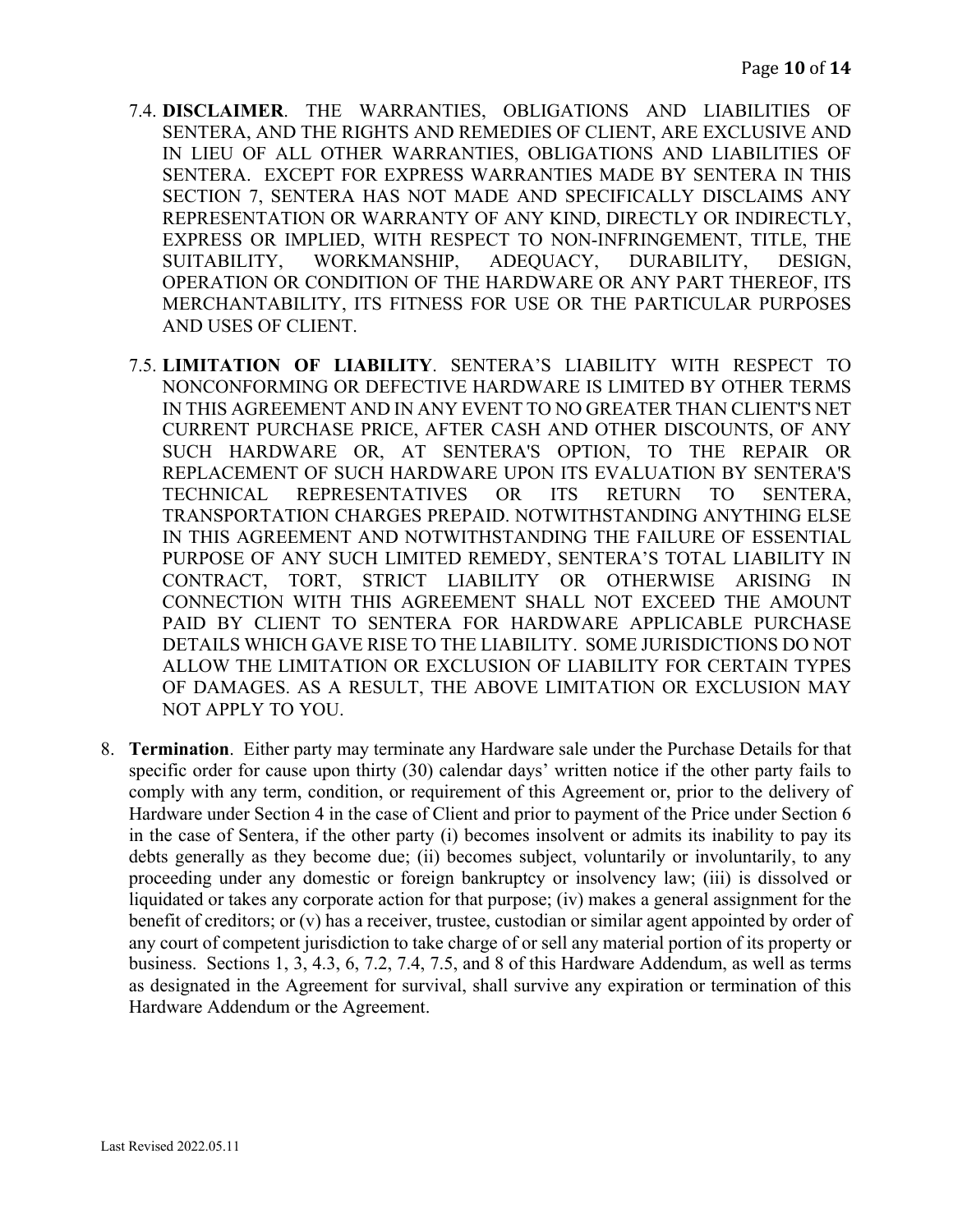- 7.4. **DISCLAIMER**. THE WARRANTIES, OBLIGATIONS AND LIABILITIES OF SENTERA, AND THE RIGHTS AND REMEDIES OF CLIENT, ARE EXCLUSIVE AND IN LIEU OF ALL OTHER WARRANTIES, OBLIGATIONS AND LIABILITIES OF SENTERA. EXCEPT FOR EXPRESS WARRANTIES MADE BY SENTERA IN THIS SECTION 7, SENTERA HAS NOT MADE AND SPECIFICALLY DISCLAIMS ANY REPRESENTATION OR WARRANTY OF ANY KIND, DIRECTLY OR INDIRECTLY, EXPRESS OR IMPLIED, WITH RESPECT TO NON-INFRINGEMENT, TITLE, THE SUITABILITY, WORKMANSHIP, ADEQUACY, DURABILITY, DESIGN, OPERATION OR CONDITION OF THE HARDWARE OR ANY PART THEREOF, ITS MERCHANTABILITY, ITS FITNESS FOR USE OR THE PARTICULAR PURPOSES AND USES OF CLIENT.
- 7.5. **LIMITATION OF LIABILITY**. SENTERA'S LIABILITY WITH RESPECT TO NONCONFORMING OR DEFECTIVE HARDWARE IS LIMITED BY OTHER TERMS IN THIS AGREEMENT AND IN ANY EVENT TO NO GREATER THAN CLIENT'S NET CURRENT PURCHASE PRICE, AFTER CASH AND OTHER DISCOUNTS, OF ANY SUCH HARDWARE OR, AT SENTERA'S OPTION, TO THE REPAIR OR REPLACEMENT OF SUCH HARDWARE UPON ITS EVALUATION BY SENTERA'S TECHNICAL REPRESENTATIVES OR ITS RETURN TO SENTERA, TRANSPORTATION CHARGES PREPAID. NOTWITHSTANDING ANYTHING ELSE IN THIS AGREEMENT AND NOTWITHSTANDING THE FAILURE OF ESSENTIAL PURPOSE OF ANY SUCH LIMITED REMEDY, SENTERA'S TOTAL LIABILITY IN CONTRACT, TORT, STRICT LIABILITY OR OTHERWISE ARISING IN CONNECTION WITH THIS AGREEMENT SHALL NOT EXCEED THE AMOUNT PAID BY CLIENT TO SENTERA FOR HARDWARE APPLICABLE PURCHASE DETAILS WHICH GAVE RISE TO THE LIABILITY. SOME JURISDICTIONS DO NOT ALLOW THE LIMITATION OR EXCLUSION OF LIABILITY FOR CERTAIN TYPES OF DAMAGES. AS A RESULT, THE ABOVE LIMITATION OR EXCLUSION MAY NOT APPLY TO YOU.
- 8. **Termination**. Either party may terminate any Hardware sale under the Purchase Details for that specific order for cause upon thirty (30) calendar days' written notice if the other party fails to comply with any term, condition, or requirement of this Agreement or, prior to the delivery of Hardware under Section 4 in the case of Client and prior to payment of the Price under Section 6 in the case of Sentera, if the other party (i) becomes insolvent or admits its inability to pay its debts generally as they become due; (ii) becomes subject, voluntarily or involuntarily, to any proceeding under any domestic or foreign bankruptcy or insolvency law; (iii) is dissolved or liquidated or takes any corporate action for that purpose; (iv) makes a general assignment for the benefit of creditors; or (v) has a receiver, trustee, custodian or similar agent appointed by order of any court of competent jurisdiction to take charge of or sell any material portion of its property or business. Sections 1, 3, 4.3, 6, 7.2, 7.4, 7.5, and 8 of this Hardware Addendum, as well as terms as designated in the Agreement for survival, shall survive any expiration or termination of this Hardware Addendum or the Agreement.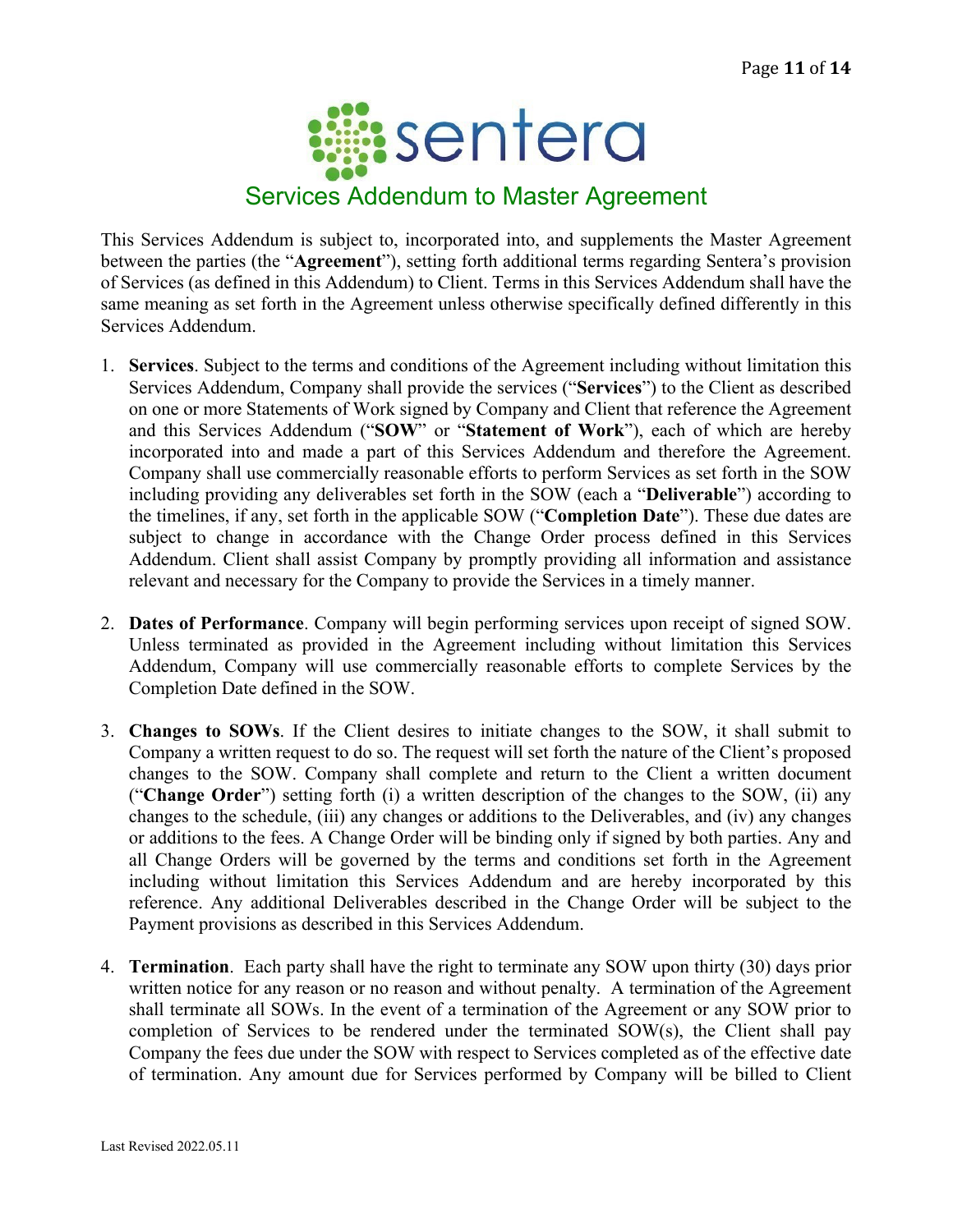

This Services Addendum is subject to, incorporated into, and supplements the Master Agreement between the parties (the "**Agreement**"), setting forth additional terms regarding Sentera's provision of Services (as defined in this Addendum) to Client. Terms in this Services Addendum shall have the same meaning as set forth in the Agreement unless otherwise specifically defined differently in this Services Addendum.

- 1. **Services**. Subject to the terms and conditions of the Agreement including without limitation this Services Addendum, Company shall provide the services ("**Services**") to the Client as described on one or more Statements of Work signed by Company and Client that reference the Agreement and this Services Addendum ("**SOW**" or "**Statement of Work**"), each of which are hereby incorporated into and made a part of this Services Addendum and therefore the Agreement. Company shall use commercially reasonable efforts to perform Services as set forth in the SOW including providing any deliverables set forth in the SOW (each a "**Deliverable**") according to the timelines, if any, set forth in the applicable SOW ("**Completion Date**"). These due dates are subject to change in accordance with the Change Order process defined in this Services Addendum. Client shall assist Company by promptly providing all information and assistance relevant and necessary for the Company to provide the Services in a timely manner.
- 2. **Dates of Performance**. Company will begin performing services upon receipt of signed SOW. Unless terminated as provided in the Agreement including without limitation this Services Addendum, Company will use commercially reasonable efforts to complete Services by the Completion Date defined in the SOW.
- 3. **Changes to SOWs**. If the Client desires to initiate changes to the SOW, it shall submit to Company a written request to do so. The request will set forth the nature of the Client's proposed changes to the SOW. Company shall complete and return to the Client a written document ("**Change Order**") setting forth (i) a written description of the changes to the SOW, (ii) any changes to the schedule, (iii) any changes or additions to the Deliverables, and (iv) any changes or additions to the fees. A Change Order will be binding only if signed by both parties. Any and all Change Orders will be governed by the terms and conditions set forth in the Agreement including without limitation this Services Addendum and are hereby incorporated by this reference. Any additional Deliverables described in the Change Order will be subject to the Payment provisions as described in this Services Addendum.
- 4. **Termination**.Each party shall have the right to terminate any SOW upon thirty (30) days prior written notice for any reason or no reason and without penalty. A termination of the Agreement shall terminate all SOWs. In the event of a termination of the Agreement or any SOW prior to completion of Services to be rendered under the terminated SOW(s), the Client shall pay Company the fees due under the SOW with respect to Services completed as of the effective date of termination. Any amount due for Services performed by Company will be billed to Client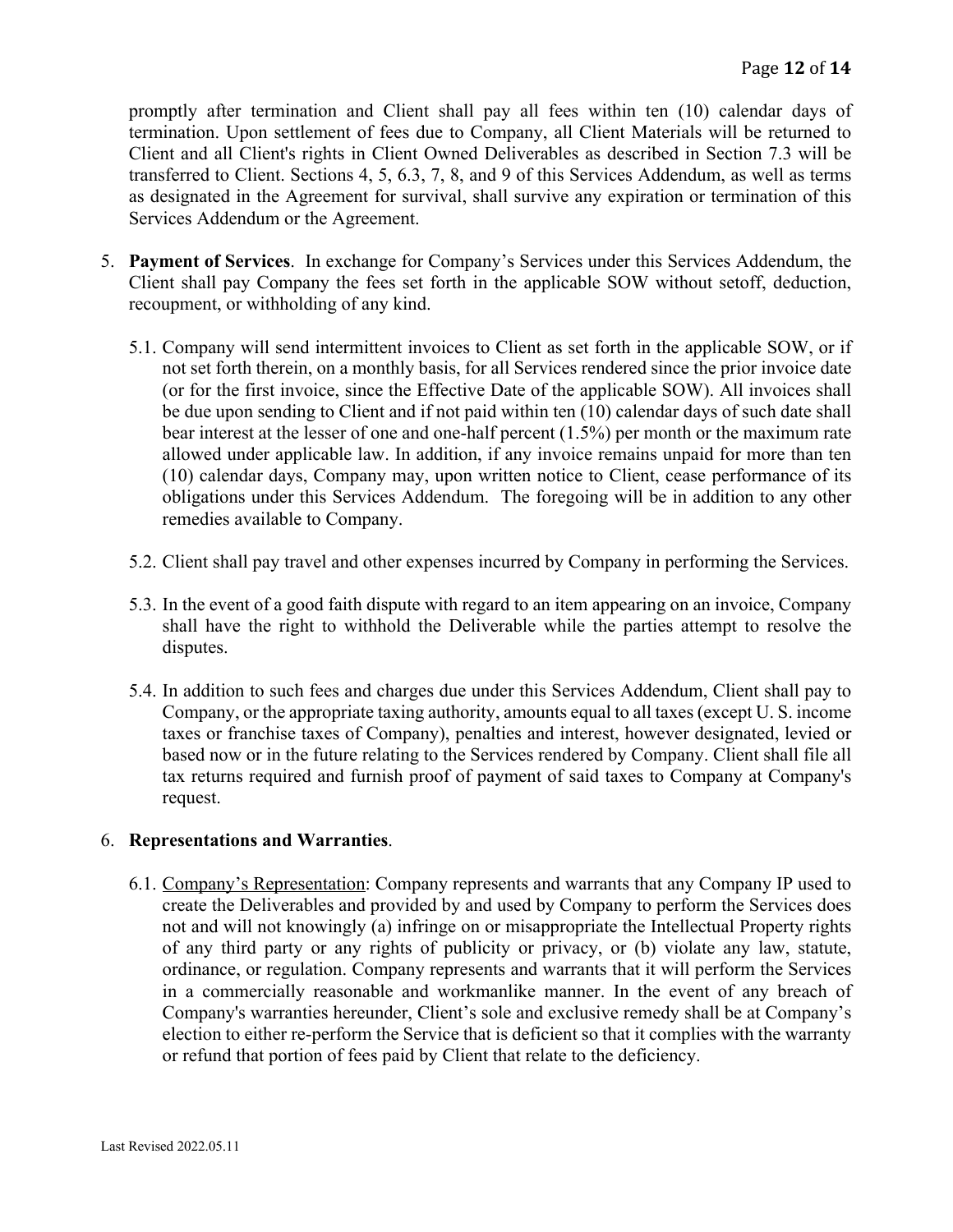promptly after termination and Client shall pay all fees within ten (10) calendar days of termination. Upon settlement of fees due to Company, all Client Materials will be returned to Client and all Client's rights in Client Owned Deliverables as described in Section 7.3 will be transferred to Client. Sections 4, 5, 6.3, 7, 8, and 9 of this Services Addendum, as well as terms as designated in the Agreement for survival, shall survive any expiration or termination of this Services Addendum or the Agreement.

- 5. **Payment of Services**.In exchange for Company's Services under this Services Addendum, the Client shall pay Company the fees set forth in the applicable SOW without setoff, deduction, recoupment, or withholding of any kind.
	- 5.1. Company will send intermittent invoices to Client as set forth in the applicable SOW, or if not set forth therein, on a monthly basis, for all Services rendered since the prior invoice date (or for the first invoice, since the Effective Date of the applicable SOW). All invoices shall be due upon sending to Client and if not paid within ten (10) calendar days of such date shall bear interest at the lesser of one and one-half percent (1.5%) per month or the maximum rate allowed under applicable law. In addition, if any invoice remains unpaid for more than ten (10) calendar days, Company may, upon written notice to Client, cease performance of its obligations under this Services Addendum. The foregoing will be in addition to any other remedies available to Company.
	- 5.2. Client shall pay travel and other expenses incurred by Company in performing the Services.
	- 5.3. In the event of a good faith dispute with regard to an item appearing on an invoice, Company shall have the right to withhold the Deliverable while the parties attempt to resolve the disputes.
	- 5.4. In addition to such fees and charges due under this Services Addendum, Client shall pay to Company, or the appropriate taxing authority, amounts equal to all taxes (except U. S. income taxes or franchise taxes of Company), penalties and interest, however designated, levied or based now or in the future relating to the Services rendered by Company. Client shall file all tax returns required and furnish proof of payment of said taxes to Company at Company's request.

## 6. **Representations and Warranties**.

6.1. Company's Representation: Company represents and warrants that any Company IP used to create the Deliverables and provided by and used by Company to perform the Services does not and will not knowingly (a) infringe on or misappropriate the Intellectual Property rights of any third party or any rights of publicity or privacy, or (b) violate any law, statute, ordinance, or regulation. Company represents and warrants that it will perform the Services in a commercially reasonable and workmanlike manner. In the event of any breach of Company's warranties hereunder, Client's sole and exclusive remedy shall be at Company's election to either re-perform the Service that is deficient so that it complies with the warranty or refund that portion of fees paid by Client that relate to the deficiency.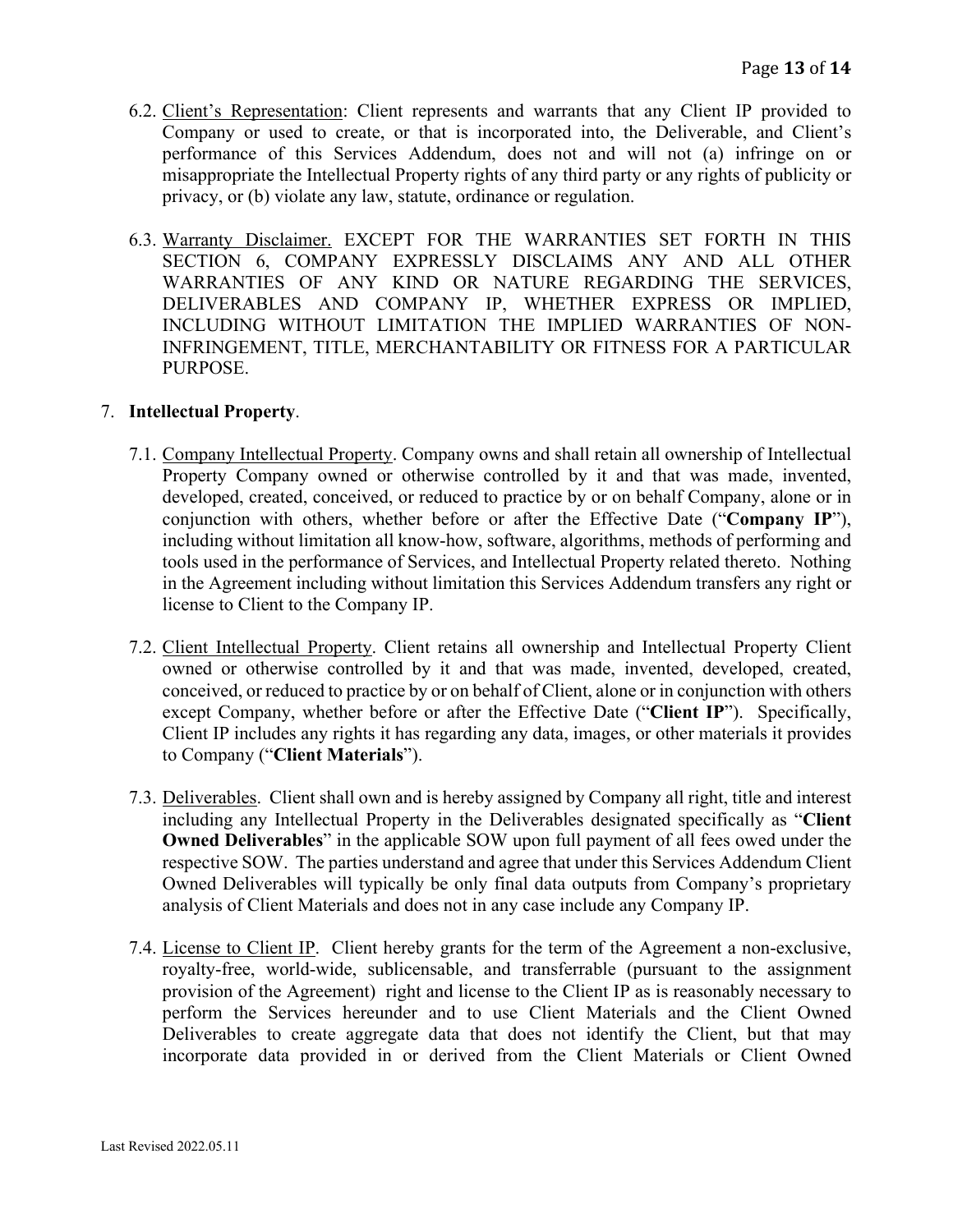- 6.2. Client's Representation: Client represents and warrants that any Client IP provided to Company or used to create, or that is incorporated into, the Deliverable, and Client's performance of this Services Addendum, does not and will not (a) infringe on or misappropriate the Intellectual Property rights of any third party or any rights of publicity or privacy, or (b) violate any law, statute, ordinance or regulation.
- 6.3. Warranty Disclaimer. EXCEPT FOR THE WARRANTIES SET FORTH IN THIS SECTION 6, COMPANY EXPRESSLY DISCLAIMS ANY AND ALL OTHER WARRANTIES OF ANY KIND OR NATURE REGARDING THE SERVICES, DELIVERABLES AND COMPANY IP, WHETHER EXPRESS OR IMPLIED, INCLUDING WITHOUT LIMITATION THE IMPLIED WARRANTIES OF NON-INFRINGEMENT, TITLE, MERCHANTABILITY OR FITNESS FOR A PARTICULAR PURPOSE.

#### 7. **Intellectual Property**.

- 7.1. Company Intellectual Property. Company owns and shall retain all ownership of Intellectual Property Company owned or otherwise controlled by it and that was made, invented, developed, created, conceived, or reduced to practice by or on behalf Company, alone or in conjunction with others, whether before or after the Effective Date ("**Company IP**"), including without limitation all know-how, software, algorithms, methods of performing and tools used in the performance of Services, and Intellectual Property related thereto. Nothing in the Agreement including without limitation this Services Addendum transfers any right or license to Client to the Company IP.
- 7.2. Client Intellectual Property. Client retains all ownership and Intellectual Property Client owned or otherwise controlled by it and that was made, invented, developed, created, conceived, or reduced to practice by or on behalf of Client, alone or in conjunction with others except Company, whether before or after the Effective Date ("**Client IP**"). Specifically, Client IP includes any rights it has regarding any data, images, or other materials it provides to Company ("**Client Materials**").
- 7.3. Deliverables. Client shall own and is hereby assigned by Company all right, title and interest including any Intellectual Property in the Deliverables designated specifically as "**Client Owned Deliverables**" in the applicable SOW upon full payment of all fees owed under the respective SOW. The parties understand and agree that under this Services Addendum Client Owned Deliverables will typically be only final data outputs from Company's proprietary analysis of Client Materials and does not in any case include any Company IP.
- 7.4. License to Client IP. Client hereby grants for the term of the Agreement a non-exclusive, royalty-free, world-wide, sublicensable, and transferrable (pursuant to the assignment provision of the Agreement) right and license to the Client IP as is reasonably necessary to perform the Services hereunder and to use Client Materials and the Client Owned Deliverables to create aggregate data that does not identify the Client, but that may incorporate data provided in or derived from the Client Materials or Client Owned